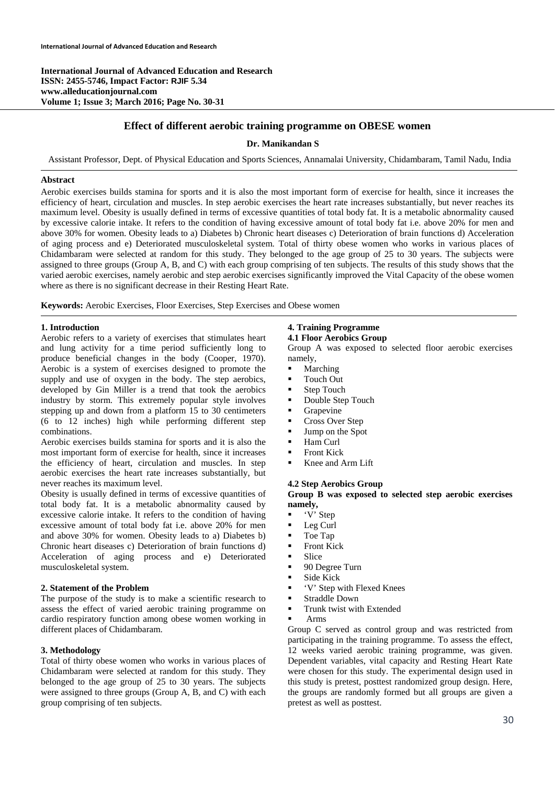**International Journal of Advanced Education and Research ISSN: 2455-5746, Impact Factor: RJIF 5.34 www.alleducationjournal.com Volume 1; Issue 3; March 2016; Page No. 30-31** 

# **Effect of different aerobic training programme on OBESE women**

# **Dr. Manikandan S**

Assistant Professor, Dept. of Physical Education and Sports Sciences, Annamalai University, Chidambaram, Tamil Nadu, India

## **Abstract**

Aerobic exercises builds stamina for sports and it is also the most important form of exercise for health, since it increases the efficiency of heart, circulation and muscles. In step aerobic exercises the heart rate increases substantially, but never reaches its maximum level. Obesity is usually defined in terms of excessive quantities of total body fat. It is a metabolic abnormality caused by excessive calorie intake. It refers to the condition of having excessive amount of total body fat i.e. above 20% for men and above 30% for women. Obesity leads to a) Diabetes b) Chronic heart diseases c) Deterioration of brain functions d) Acceleration of aging process and e) Deteriorated musculoskeletal system. Total of thirty obese women who works in various places of Chidambaram were selected at random for this study. They belonged to the age group of 25 to 30 years. The subjects were assigned to three groups (Group A, B, and C) with each group comprising of ten subjects. The results of this study shows that the varied aerobic exercises, namely aerobic and step aerobic exercises significantly improved the Vital Capacity of the obese women where as there is no significant decrease in their Resting Heart Rate.

**Keywords:** Aerobic Exercises, Floor Exercises, Step Exercises and Obese women

## **1. Introduction**

Aerobic refers to a variety of exercises that stimulates heart and lung activity for a time period sufficiently long to produce beneficial changes in the body (Cooper, 1970). Aerobic is a system of exercises designed to promote the supply and use of oxygen in the body. The step aerobics, developed by Gin Miller is a trend that took the aerobics industry by storm. This extremely popular style involves stepping up and down from a platform 15 to 30 centimeters (6 to 12 inches) high while performing different step combinations.

Aerobic exercises builds stamina for sports and it is also the most important form of exercise for health, since it increases the efficiency of heart, circulation and muscles. In step aerobic exercises the heart rate increases substantially, but never reaches its maximum level.

Obesity is usually defined in terms of excessive quantities of total body fat. It is a metabolic abnormality caused by excessive calorie intake. It refers to the condition of having excessive amount of total body fat i.e. above 20% for men and above 30% for women. Obesity leads to a) Diabetes b) Chronic heart diseases c) Deterioration of brain functions d) Acceleration of aging process and e) Deteriorated musculoskeletal system.

### **2. Statement of the Problem**

The purpose of the study is to make a scientific research to assess the effect of varied aerobic training programme on cardio respiratory function among obese women working in different places of Chidambaram.

### **3. Methodology**

Total of thirty obese women who works in various places of Chidambaram were selected at random for this study. They belonged to the age group of 25 to 30 years. The subjects were assigned to three groups (Group A, B, and C) with each group comprising of ten subjects.

# **4. Training Programme**

**4.1 Floor Aerobics Group** 

Group A was exposed to selected floor aerobic exercises namely,

- Marching
- **Touch Out**
- Step Touch
- Double Step Touch
- **Grapevine**
- Cross Over Step
- **Jump on the Spot**
- **Ham Curl**
- **Front Kick**
- Knee and Arm Lift

## **4.2 Step Aerobics Group**

**Group B was exposed to selected step aerobic exercises namely,**

- 'V' Step
- **Leg Curl**
- Toe Tap
- **Front Kick**
- **Slice**
- 90 Degree Turn
- **Side Kick**
- 'V' Step with Flexed Knees
- **Straddle Down**
- **Trunk twist with Extended**
- Arms

Group C served as control group and was restricted from participating in the training programme. To assess the effect, 12 weeks varied aerobic training programme, was given. Dependent variables, vital capacity and Resting Heart Rate were chosen for this study. The experimental design used in this study is pretest, posttest randomized group design. Here, the groups are randomly formed but all groups are given a pretest as well as posttest.